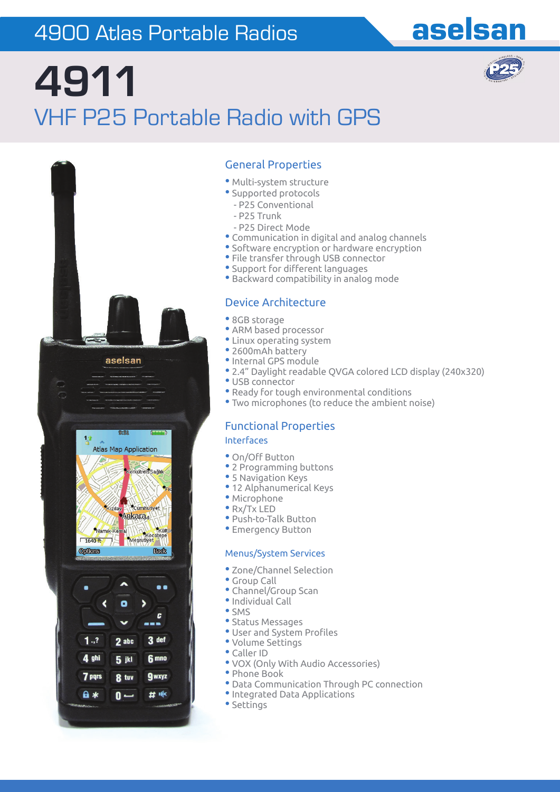### 4900 Atlas Portable Radios

# **4911**  VHF P25 Portable Radio with GPS



#### General Properties

- Multi-system structure
- Supported protocols
- P25 Conventional
- P25 Trunk
- P25 Direct Mode
- Communication in digital and analog channels
- Software encryption or hardware encryption
- File transfer through USB connector
- Support for different languages
- Backward compatibility in analog mode

#### Device Architecture

- 8GB storage
- ARM based processor
- Linux operating system
- 2600mAh battery
- •Internal GPS module
- 2.4" Daylight readable QVGA colored LCD display (240x320)

aselsan

- USB connector
- Ready for tough environmental conditions
- Two microphones (to reduce the ambient noise)

### Functional Properties

#### Interfaces

- On/Off Button
- 2 Programming buttons
- 5 Navigation Keys
- 12 Alphanumerical Keys
- Microphone
- Rx/Tx LED
- Push-to-Talk Button
- Emergency Button

#### Menus/System Services

- Zone/Channel Selection
- Group Call
- Channel/Group Scan
- •Individual Call
- SMS
- Status Messages
- User and System Profiles
- Volume Settings
- Caller ID
- VOX (Only With Audio Accessories)
- Phone Book
- Data Communication Through PC connection
- •Integrated Data Applications
- Settings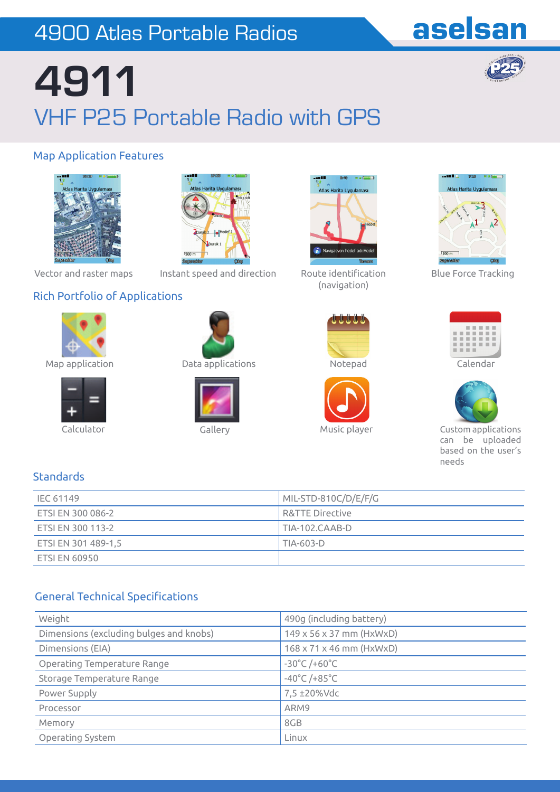### 4900 Atlas Portable Radios

### aselsan

# **4911**  VHF P25 Portable Radio with GPS

#### Map Application Features





Vector and raster maps

Instant speed and direction Route identification

#### Rich Portfolio of Applications









Map application Data applications Notepad





(navigation)









Blue Force Tracking





 Calculator Gallery Music player Custom applications can be uploaded based on the user's needs

#### **Standards**

| IEC 61149            | MIL-STD-810C/D/E/F/G |
|----------------------|----------------------|
| ETSI EN 300 086-2    | R&TTE Directive      |
| ETSI EN 300 113-2    | TIA-102.CAAB-D       |
| ETSI EN 301 489-1,5  | TIA-603-D            |
| <b>ETSI EN 60950</b> |                      |

#### **General Technical Specifications**

| Weight                                  | 490g (including battery)             |  |  |
|-----------------------------------------|--------------------------------------|--|--|
| Dimensions (excluding bulges and knobs) | $149 \times 56 \times 37$ mm (HxWxD) |  |  |
| Dimensions (EIA)                        | $168 \times 71 \times 46$ mm (HxWxD) |  |  |
| Operating Temperature Range             | $-30^{\circ}$ C /+60 $^{\circ}$ C    |  |  |
| Storage Temperature Range               | $-40^{\circ}$ C /+85 $^{\circ}$ C    |  |  |
| Power Supply                            | 7,5 ±20%Vdc                          |  |  |
| Processor                               | ARM9                                 |  |  |
| Memory                                  | 8GB                                  |  |  |
| Operating System                        | Linux                                |  |  |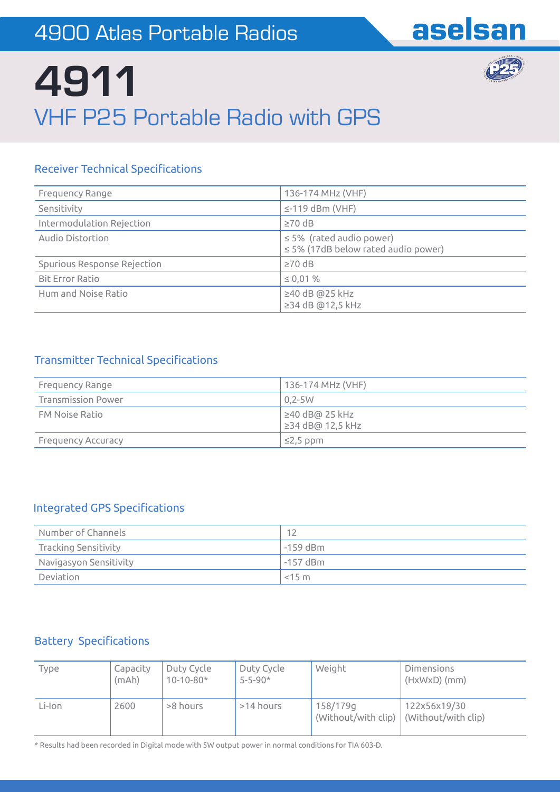

# **4911**  VHF P25 Portable Radio with GPS

#### **Receiver Technical Specifications**

| Frequency Range             | 136-174 MHz (VHF)                                                         |  |  |
|-----------------------------|---------------------------------------------------------------------------|--|--|
| Sensitivity                 | $\le$ -119 dBm (VHF)                                                      |  |  |
| Intermodulation Rejection   | $\geq 70$ dB                                                              |  |  |
| Audio Distortion            | $\leq$ 5% (rated audio power)<br>$\leq$ 5% (17dB below rated audio power) |  |  |
| Spurious Response Rejection | $\geq 70$ dB                                                              |  |  |
| <b>Bit Error Ratio</b>      | $\leq 0.01 \%$                                                            |  |  |
| Hum and Noise Ratio         | $\geq$ 40 dB @25 kHz<br>≥34 dB @12,5 kHz                                  |  |  |

#### **Transmitter Technical Specifications**

| Frequency Range           | 136-174 MHz (VHF)                              |
|---------------------------|------------------------------------------------|
| <b>Transmission Power</b> | $0.2 - 5W$                                     |
| <b>FM Noise Ratio</b>     | $\geq 40$ dB@ 25 kHz<br>$\geq$ 34 dB@ 12,5 kHz |
| <b>Frequency Accuracy</b> | $\leq$ 2,5 ppm                                 |

#### Integrated GPS Specifications

| Number of Channels          | 12         |
|-----------------------------|------------|
| <b>Tracking Sensitivity</b> | $-159$ dBm |
| Navigasyon Sensitivity      | $-157$ dBm |
| Deviation                   | $<$ 15 m   |

#### **Battery Specifications**

| Type   | Capacity<br>(mAh) | Duty Cycle<br>$10 - 10 - 80*$ | Duty Cycle<br>$5 - 5 - 90*$ | Weight                                                  | <b>Dimensions</b><br>$(HxWxD)$ (mm) |
|--------|-------------------|-------------------------------|-----------------------------|---------------------------------------------------------|-------------------------------------|
| Li-Ion | 2600              | >8 hours                      | >14 hours                   | 158/179g<br>(Without/with clip) $ (Without/with clip) $ | 122x56x19/30                        |

\* Results had been recorded in Digital mode with 5W output power in normal conditions for TIA 603-D.